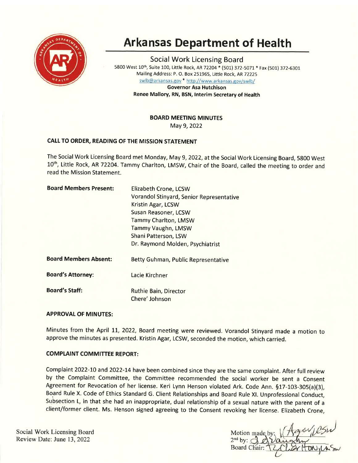

# Arkansas Department of Health

Social Work Licensing Board 5800 West 10th, Suite 100, Little Rock, AR 72204 \* (501) 372-5071 \* Fax (501) 372-6301 Mailing Address: P. O. Box 251965, Little Rock, AR72225 swlb@arkansas.gov \* http://www.arkansas.gov/swlb/

> Governor Asa Hutchison Renee Mallory, RN, BSN, lnterim Secretary of Health

> > BOARD MEETING MINUTES

May 9,2022

# CAIL TO ORDER, READING OF THE MISSION STATEMENT

The Social Work Licensing Board met Monday, May 9, 2022, at the Social Work Licensing Board, 5800 West 10<sup>th</sup>, Little Rock, AR 72204. Tammy Charlton, LMSW, Chair of the Board, called the meeting to order and read the Mission Statement.

| Elizabeth Crone, LCSW                    |
|------------------------------------------|
| Vorandol Stinyard, Senior Representative |
| Kristin Agar, LCSW                       |
| Susan Reasoner, LCSW                     |
| Tammy Charlton, LMSW                     |
| <b>Tammy Vaughn, LMSW</b>                |
| Shani Patterson, LSW                     |
| Dr. Raymond Molden, Psychiatrist         |
| Betty Guhman, Public Representative      |
| Lacie Kirchner                           |
| Ruthie Bain, Director<br>Chere' Johnson  |
|                                          |

# APPROVAL OF MINUTES:

Minutes from the April 11, 2O22, Board meeting were reviewed. Vorandol Stinyard made a motion to approve the minutes as presented. Kristin Agar, LCSW, seconded the motion, which carried.

## **COMPLAINT COMMITTEE REPORT:**

Complaint 2022-10 and 2022-14 have been combined since they are the same complaint. After full review by the Complaint Committee, the Committee recommended the social worker be sent a Consent Agreement for Revocation of her license. Keri Lynn Henson violated Ark. Code Ann. §17-103-305(a)(3), Board Rule X. Code of Ethics Standard G. Client Relationships and Board Rule Xl. Unprofessional Conduct, Subsection L, in that she had an inappropriate, dual relationship of a sexual nature with the parent of a client/former client. Ms. Henson signed agreeing to the Consent revoking her license. Elizabeth Crone,

Social Work Licensing Board Review Date: June 13,2022

Motion made by  $2^{nd}$  by:  $\bigcirc$ **Board Chair:**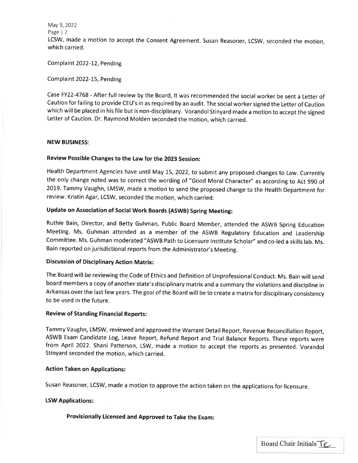May 9, 2022 Page | <sup>2</sup> LCSW, made a motion to accept the Consent Agreement. Susan Reasoner, LCSW, seconded the motion, which carried.

Complaint 2022-12, Pending

Complaint 2022-15, Pending

Case FY22-4768 - After full review by the Board, lt was recommended the social worker be sent a Letter of Caution for failing to provide CEU's in as required by an audit. The social worker signed the Letter of Caution which will be placed in his file but is non-disciplinary. Vorandol Stinyard made a motion to accept the signed Letter of caution. Dr. Raymond Molden seconded the motion, which carried.

## NEW BUSINESS:

## Review Possible Changes to the law for the 2023 Session:

Health Department Agencies have until May 15, 2022, to submit any proposed changes to Law. Currently the only change noted was to correct the wording of "Good Moral Character" as according to Act 990 of 2019. Tammy Vaughn, LMSW, made a motion to send the proposed change to the Health Department for review. Kristin Agar, LCSW, seconded the motion, which carried.

# Update on Association of Social Work Boards (ASWB) Spring Meeting:

Ruthie Bain, Director, and Betty Guhman, Public Board Member, attended the ASWB Spring Education Meeting. Ms. Guhman attended as a member of the ASWB Regulatory Education and Leadership Committee. Ms. Guhman moderated "ASWB Path to Licensure lnstitute Scholar" and co-led a skills lab. Ms. Bain reported on jurisdictional reports from the Administrator's Meeting.

## Discussion of Disciplinary Action Matrix:

The Board will be reviewing the Code of Ethics and Definition of Unprofessional Conduct. Ms. Bain will send board members a copy of another state's disciplinary matrix and a summary the violations and discipline in Arkansas over the last few years. The goal of the Board will be to create a matrix for disciplinary consistency to be used in the future.

## Review of Standing Financial Reports:

Tammy Vaughn, LMSW, reviewed and approved the Warrant Detail Report, Revenue Reconciliation Report, ASWB Exam Candidate Log, Leave Report, Refund Report and Trial Balance Reports. These reports were from April 2022. Shani Patterson, LSW, made a motion to accept the reports as presented. Vorandol Stinyard seconded the motion, which carried.

## Action Taken on Applications:

Susan Reasoner, LCSW, made a motion to approve the action taken on the applications for licensure

## LSW Applications:

Provisionally Licensed and Approved to Take the Exam: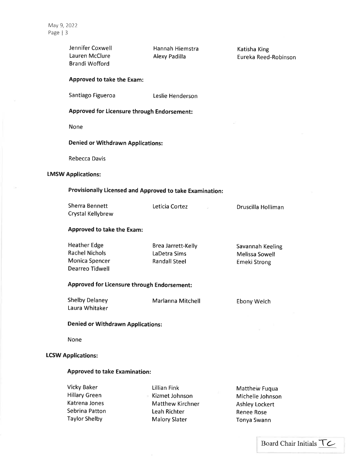si.

|                           | Jennifer Coxwell<br>Lauren McClure<br><b>Brandi Wofford</b>                              | Hannah Hiemstra<br>Alexy Padilla                                          | Katisha King<br>Eureka Reed-Robinson                                            |  |
|---------------------------|------------------------------------------------------------------------------------------|---------------------------------------------------------------------------|---------------------------------------------------------------------------------|--|
|                           | Approved to take the Exam:                                                               |                                                                           |                                                                                 |  |
|                           | Santiago Figueroa                                                                        | Leslie Henderson                                                          |                                                                                 |  |
|                           | Approved for Licensure through Endorsement:                                              |                                                                           |                                                                                 |  |
|                           | <b>None</b>                                                                              |                                                                           |                                                                                 |  |
|                           | <b>Denied or Withdrawn Applications:</b>                                                 |                                                                           |                                                                                 |  |
|                           | Rebecca Davis                                                                            |                                                                           |                                                                                 |  |
| <b>LMSW Applications:</b> |                                                                                          |                                                                           |                                                                                 |  |
|                           | Provisionally Licensed and Approved to take Examination:                                 |                                                                           |                                                                                 |  |
|                           | <b>Sherra Bennett</b><br>Crystal Kellybrew                                               | Leticia Cortez                                                            | Druscilla Holliman                                                              |  |
|                           | Approved to take the Exam:                                                               |                                                                           |                                                                                 |  |
|                           | <b>Heather Edge</b><br><b>Rachel Nichols</b><br>Monica Spencer<br><b>Dearreo Tidwell</b> | Brea Jarrett-Kelly<br>LaDetra Sims<br><b>Randall Steel</b>                | Savannah Keeling<br>Melissa Sowell<br><b>Emeki Strong</b>                       |  |
|                           | Approved for Licensure through Endorsement:                                              |                                                                           |                                                                                 |  |
|                           | <b>Shelby Delaney</b><br>Laura Whitaker                                                  | Marlanna Mitchell                                                         | <b>Ebony Welch</b>                                                              |  |
|                           | <b>Denied or Withdrawn Applications:</b>                                                 |                                                                           |                                                                                 |  |
|                           | None                                                                                     |                                                                           |                                                                                 |  |
| <b>LCSW Applications:</b> |                                                                                          |                                                                           |                                                                                 |  |
|                           | <b>Approved to take Examination:</b>                                                     |                                                                           |                                                                                 |  |
|                           | <b>Vicky Baker</b><br><b>Hillary Green</b><br>Katrena Jones<br>Sebrina Patton            | <b>Lillian Fink</b><br>Kizmet Johnson<br>Matthew Kirchner<br>Leah Richter | Matthew Fuqua<br>Michelle Johnson<br><b>Ashley Lockert</b><br><b>Renee Rose</b> |  |

Malory Slater

Taylor Shelby

Board Chair Initials TC

Tonya Swann